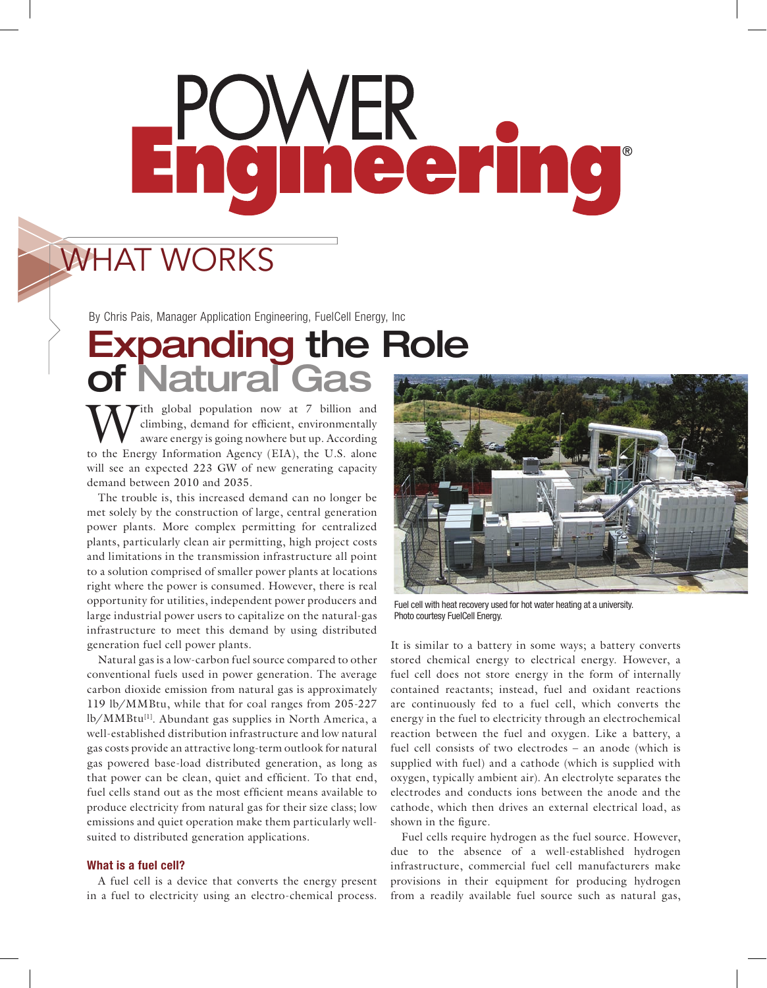# neering

## WHAT WORKS

By Chris Pais, Manager Application Engineering, FuelCell Energy, Inc

## Expanding the Role of Natural Gas

ith global population now at 7 billion and climbing, demand for efficient, environmentally aware energy is going nowhere but up. According to the Energy Information Agency (EIA), the U.S. alone will see an expected 223 GW of new generating capacity demand between 2010 and 2035.

The trouble is, this increased demand can no longer be met solely by the construction of large, central generation power plants. More complex permitting for centralized plants, particularly clean air permitting, high project costs and limitations in the transmission infrastructure all point to a solution comprised of smaller power plants at locations right where the power is consumed. However, there is real opportunity for utilities, independent power producers and large industrial power users to capitalize on the natural-gas infrastructure to meet this demand by using distributed generation fuel cell power plants.

Natural gas is a low-carbon fuel source compared to other conventional fuels used in power generation. The average carbon dioxide emission from natural gas is approximately 119 lb/MMBtu, while that for coal ranges from 205-227 lb/MMBtu[1]. Abundant gas supplies in North America, a well-established distribution infrastructure and low natural gas costs provide an attractive long-term outlook for natural gas powered base-load distributed generation, as long as that power can be clean, quiet and efficient. To that end, fuel cells stand out as the most efficient means available to produce electricity from natural gas for their size class; low emissions and quiet operation make them particularly wellsuited to distributed generation applications.

#### What is a fuel cell?

A fuel cell is a device that converts the energy present in a fuel to electricity using an electro-chemical process.



Fuel cell with heat recovery used for hot water heating at a university. Photo courtesy FuelCell Energy.

It is similar to a battery in some ways; a battery converts stored chemical energy to electrical energy. However, a fuel cell does not store energy in the form of internally contained reactants; instead, fuel and oxidant reactions are continuously fed to a fuel cell, which converts the energy in the fuel to electricity through an electrochemical reaction between the fuel and oxygen. Like a battery, a fuel cell consists of two electrodes – an anode (which is supplied with fuel) and a cathode (which is supplied with oxygen, typically ambient air). An electrolyte separates the electrodes and conducts ions between the anode and the cathode, which then drives an external electrical load, as shown in the figure.

Fuel cells require hydrogen as the fuel source. However, due to the absence of a well-established hydrogen infrastructure, commercial fuel cell manufacturers make provisions in their equipment for producing hydrogen from a readily available fuel source such as natural gas,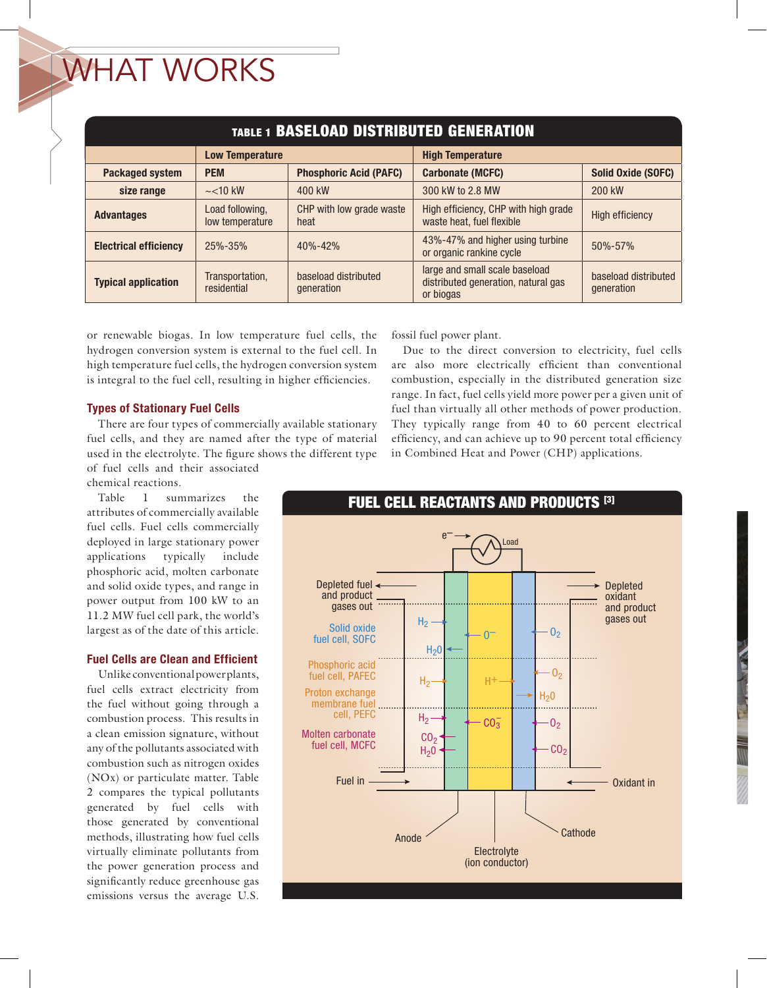# WHAT WORKS

| <b>TABLE 1 BASELOAD DISTRIBUTED GENERATION</b> |                                    |                                    |                                                                                    |                                    |  |  |  |
|------------------------------------------------|------------------------------------|------------------------------------|------------------------------------------------------------------------------------|------------------------------------|--|--|--|
|                                                | <b>Low Temperature</b>             |                                    | <b>High Temperature</b>                                                            |                                    |  |  |  |
| <b>Packaged system</b>                         | <b>PEM</b>                         | <b>Phosphoric Acid (PAFC)</b>      | <b>Carbonate (MCFC)</b>                                                            | <b>Solid Oxide (SOFC)</b>          |  |  |  |
| size range                                     | $\sim$ < 10 kW                     | 400 kW                             | 300 kW to 2.8 MW                                                                   | 200 kW                             |  |  |  |
| <b>Advantages</b>                              | Load following,<br>low temperature | CHP with low grade waste<br>heat   | High efficiency, CHP with high grade<br>waste heat, fuel flexible                  | <b>High efficiency</b>             |  |  |  |
| <b>Electrical efficiency</b>                   | 25%-35%                            | $40% - 42%$                        | 43%-47% and higher using turbine<br>or organic rankine cycle                       | 50%-57%                            |  |  |  |
| <b>Typical application</b>                     | Transportation,<br>residential     | baseload distributed<br>generation | large and small scale baseload<br>distributed generation, natural gas<br>or biogas | baseload distributed<br>generation |  |  |  |

or renewable biogas. In low temperature fuel cells, the hydrogen conversion system is external to the fuel cell. In high temperature fuel cells, the hydrogen conversion system is integral to the fuel cell, resulting in higher efficiencies.

### Types of Stationary Fuel Cells

There are four types of commercially available stationary fuel cells, and they are named after the type of material used in the electrolyte. The figure shows the different type of fuel cells and their associated

chemical reactions.

Table 1 summarizes the attributes of commercially available fuel cells. Fuel cells commercially deployed in large stationary power applications typically include phosphoric acid, molten carbonate and solid oxide types, and range in power output from 100 kW to an 11.2 MW fuel cell park, the world's largest as of the date of this article.

## Fuel Cells are Clean and Efficient

Unlike conventional power plants, fuel cells extract electricity from the fuel without going through a combustion process. This results in a clean emission signature, without any of the pollutants associated with combustion such as nitrogen oxides (NOx) or particulate matter. Table 2 compares the typical pollutants generated by fuel cells with those generated by conventional methods, illustrating how fuel cells virtually eliminate pollutants from the power generation process and significantly reduce greenhouse gas emissions versus the average U.S.

fossil fuel power plant.

Due to the direct conversion to electricity, fuel cells are also more electrically efficient than conventional combustion, especially in the distributed generation size range. In fact, fuel cells yield more power per a given unit of fuel than virtually all other methods of power production. They typically range from 40 to 60 percent electrical efficiency, and can achieve up to 90 percent total efficiency in Combined Heat and Power (CHP) applications.

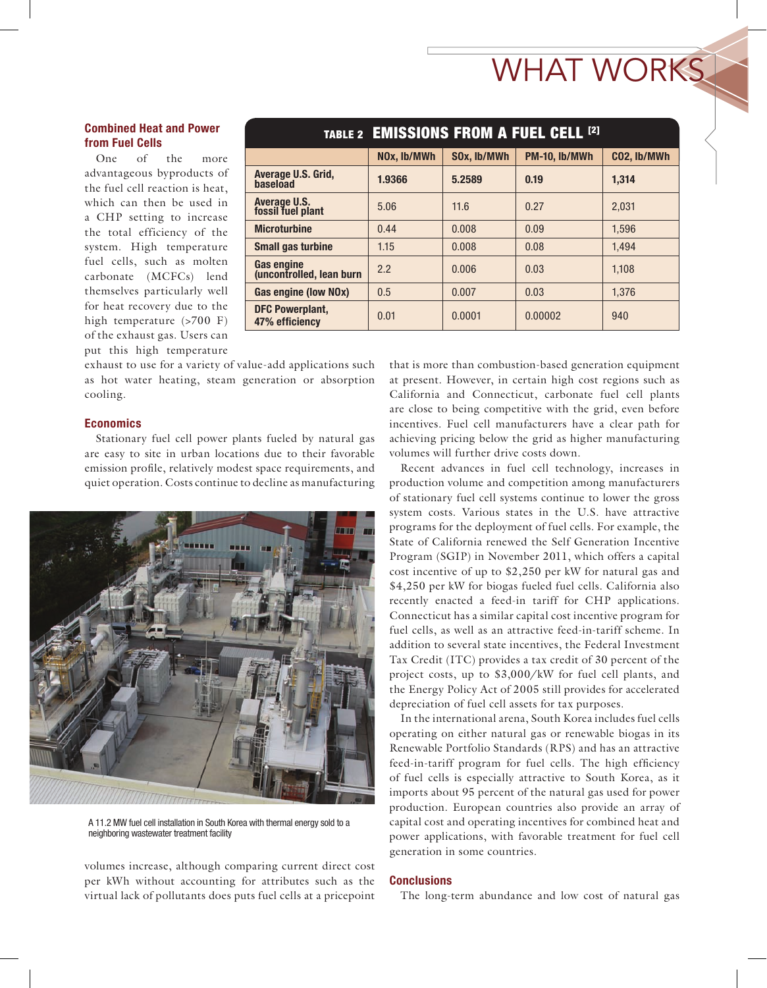# WHAT WORKS

## Combined Heat and Power from Fuel Cells

One of the more advantageous byproducts of the fuel cell reaction is heat, which can then be used in a CHP setting to increase the total efficiency of the system. High temperature fuel cells, such as molten carbonate (MCFCs) lend themselves particularly well for heat recovery due to the high temperature (>700 F) of the exhaust gas. Users can put this high temperature

|                                          | TABLE 2 EMISSIONS FROM A FUEL CELL [2] |             |               |             |  |
|------------------------------------------|----------------------------------------|-------------|---------------|-------------|--|
|                                          | NOx, lb/MWh                            | SOx, lb/MWh | PM-10, lb/MWh | CO2, lb/MWh |  |
| Average U.S. Grid,<br>baseload           | 1.9366                                 | 5.2589      | 0.19          | 1.314       |  |
| Average U.S.<br>fossil fuel plant        | 5.06                                   | 11.6        | 0.27          | 2.031       |  |
| <b>Microturbine</b>                      | 0.44                                   | 0.008       | 0.09          | 1.596       |  |
| <b>Small gas turbine</b>                 | 1.15                                   | 0.008       | 0.08          | 1.494       |  |
| Gas engine<br>(uncontrolled, lean burn)  | 2.2                                    | 0.006       | 0.03          | 1.108       |  |
| Gas engine (low NOx)                     | 0.5                                    | 0.007       | 0.03          | 1.376       |  |
| <b>DFC Powerplant,</b><br>47% efficiency | 0.01                                   | 0.0001      | 0.00002       | 940         |  |
|                                          |                                        |             |               |             |  |

exhaust to use for a variety of value-add applications such as hot water heating, steam generation or absorption cooling.

#### **Economics**

Stationary fuel cell power plants fueled by natural gas are easy to site in urban locations due to their favorable emission profile, relatively modest space requirements, and quiet operation. Costs continue to decline as manufacturing



A 11.2 MW fuel cell installation in South Korea with thermal energy sold to a neighboring wastewater treatment facility

volumes increase, although comparing current direct cost per kWh without accounting for attributes such as the virtual lack of pollutants does puts fuel cells at a pricepoint that is more than combustion-based generation equipment at present. However, in certain high cost regions such as California and Connecticut, carbonate fuel cell plants are close to being competitive with the grid, even before incentives. Fuel cell manufacturers have a clear path for achieving pricing below the grid as higher manufacturing volumes will further drive costs down.

Recent advances in fuel cell technology, increases in production volume and competition among manufacturers of stationary fuel cell systems continue to lower the gross system costs. Various states in the U.S. have attractive programs for the deployment of fuel cells. For example, the State of California renewed the Self Generation Incentive Program (SGIP) in November 2011, which offers a capital cost incentive of up to \$2,250 per kW for natural gas and \$4,250 per kW for biogas fueled fuel cells. California also recently enacted a feed-in tariff for CHP applications. Connecticut has a similar capital cost incentive program for fuel cells, as well as an attractive feed-in-tariff scheme. In addition to several state incentives, the Federal Investment Tax Credit (ITC) provides a tax credit of 30 percent of the project costs, up to \$3,000/kW for fuel cell plants, and the Energy Policy Act of 2005 still provides for accelerated depreciation of fuel cell assets for tax purposes.

In the international arena, South Korea includes fuel cells operating on either natural gas or renewable biogas in its Renewable Portfolio Standards (RPS) and has an attractive feed-in-tariff program for fuel cells. The high efficiency of fuel cells is especially attractive to South Korea, as it imports about 95 percent of the natural gas used for power production. European countries also provide an array of capital cost and operating incentives for combined heat and power applications, with favorable treatment for fuel cell generation in some countries.

#### **Conclusions**

The long-term abundance and low cost of natural gas